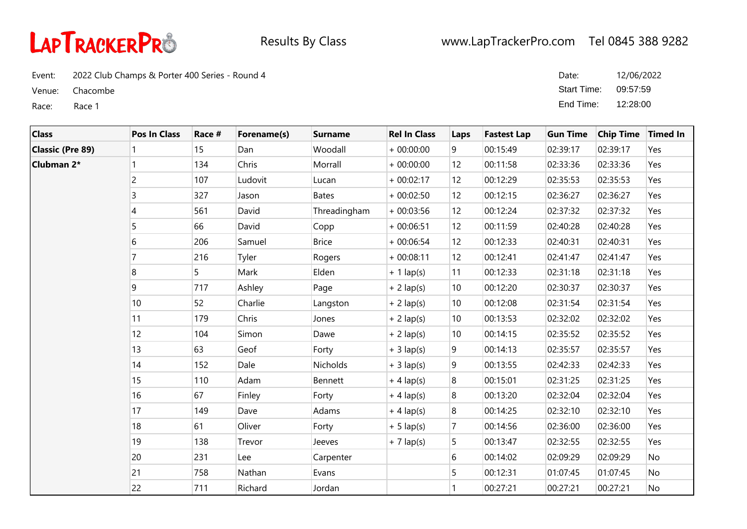

Event: 2022 Club Champs & Porter 400 Series - Round 4

Venue: Chacombe

Race: Race 1

| Date:       | 12/06/2022 |
|-------------|------------|
| Start Time: | 09:57:59   |
| End Time:   | 12:28:00   |

| <b>Class</b>            | <b>Pos In Class</b> | Race # | Forename(s) | <b>Surname</b>  | <b>Rel In Class</b> | Laps             | <b>Fastest Lap</b> | <b>Gun Time</b> | <b>Chip Time</b> | <b>Timed In</b> |
|-------------------------|---------------------|--------|-------------|-----------------|---------------------|------------------|--------------------|-----------------|------------------|-----------------|
| <b>Classic (Pre 89)</b> |                     | 15     | Dan         | Woodall         | $+00:00:00$         | 9                | 00:15:49           | 02:39:17        | 02:39:17         | Yes             |
| Clubman 2*              |                     | 134    | Chris       | Morrall         | $+00:00:00$         | 12               | 00:11:58           | 02:33:36        | 02:33:36         | Yes             |
|                         | $\overline{c}$      | 107    | Ludovit     | Lucan           | $+00:02:17$         | 12               | 00:12:29           | 02:35:53        | 02:35:53         | Yes             |
|                         | 3                   | 327    | Jason       | <b>Bates</b>    | $+00:02:50$         | 12               | 00:12:15           | 02:36:27        | 02:36:27         | Yes             |
|                         | 4                   | 561    | David       | Threadingham    | $+00:03:56$         | 12               | 00:12:24           | 02:37:32        | 02:37:32         | Yes             |
|                         | 5                   | 66     | David       | Copp            | $+00:06:51$         | 12               | 00:11:59           | 02:40:28        | 02:40:28         | Yes             |
|                         | 6                   | 206    | Samuel      | <b>Brice</b>    | $+00:06:54$         | 12               | 00:12:33           | 02:40:31        | 02:40:31         | Yes             |
|                         |                     | 216    | Tyler       | Rogers          | $+00:08:11$         | 12               | 00:12:41           | 02:41:47        | 02:41:47         | Yes             |
|                         | 8                   | 5      | Mark        | Elden           | $+ 1$ lap(s)        | 11               | 00:12:33           | 02:31:18        | 02:31:18         | Yes             |
|                         | 9                   | 717    | Ashley      | Page            | $+ 2$ lap(s)        | 10               | 00:12:20           | 02:30:37        | 02:30:37         | Yes             |
|                         | 10                  | 52     | Charlie     | Langston        | $+ 2$ lap(s)        | 10               | 00:12:08           | 02:31:54        | 02:31:54         | Yes             |
|                         | 11                  | 179    | Chris       | Jones           | $+ 2$ lap(s)        | 10               | 00:13:53           | 02:32:02        | 02:32:02         | Yes             |
|                         | 12                  | 104    | Simon       | Dawe            | $+2$ lap(s)         | 10               | 00:14:15           | 02:35:52        | 02:35:52         | Yes             |
|                         | 13                  | 63     | Geof        | Forty           | $+3$ lap(s)         | 9                | 00:14:13           | 02:35:57        | 02:35:57         | Yes             |
|                         | 14                  | 152    | Dale        | <b>Nicholds</b> | $+3$ lap(s)         | 9                | 00:13:55           | 02:42:33        | 02:42:33         | Yes             |
|                         | 15                  | 110    | Adam        | Bennett         | $+4$ lap(s)         | 8                | 00:15:01           | 02:31:25        | 02:31:25         | Yes             |
|                         | 16                  | 67     | Finley      | Forty           | $+4$ lap(s)         | 8                | 00:13:20           | 02:32:04        | 02:32:04         | Yes             |
|                         | 17                  | 149    | Dave        | Adams           | $+4$ lap(s)         | $\boldsymbol{8}$ | 00:14:25           | 02:32:10        | 02:32:10         | Yes             |
|                         | 18                  | 61     | Oliver      | Forty           | $+ 5$ lap(s)        | $\overline{7}$   | 00:14:56           | 02:36:00        | 02:36:00         | Yes             |
|                         | 19                  | 138    | Trevor      | Jeeves          | $+7$ lap(s)         | 5                | 00:13:47           | 02:32:55        | 02:32:55         | Yes             |
|                         | 20                  | 231    | Lee         | Carpenter       |                     | 6                | 00:14:02           | 02:09:29        | 02:09:29         | No              |
|                         | 21                  | 758    | Nathan      | Evans           |                     | 5                | 00:12:31           | 01:07:45        | 01:07:45         | No              |
|                         | 22                  | 711    | Richard     | Jordan          |                     |                  | 00:27:21           | 00:27:21        | 00:27:21         | No              |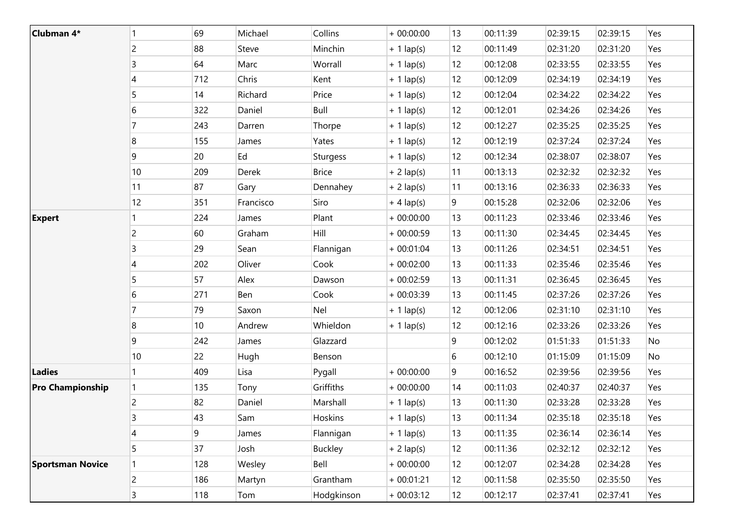| Clubman 4*              |                | 69  | Michael   | Collins         | $+00:00:00$  | 13 | 00:11:39 | 02:39:15 | 02:39:15 | Yes |
|-------------------------|----------------|-----|-----------|-----------------|--------------|----|----------|----------|----------|-----|
|                         | $\overline{c}$ | 88  | Steve     | Minchin         | $+ 1$ lap(s) | 12 | 00:11:49 | 02:31:20 | 02:31:20 | Yes |
|                         | 3              | 64  | Marc      | Worrall         | $+ 1$ lap(s) | 12 | 00:12:08 | 02:33:55 | 02:33:55 | Yes |
|                         | 4              | 712 | Chris     | Kent            | $+ 1$ lap(s) | 12 | 00:12:09 | 02:34:19 | 02:34:19 | Yes |
|                         | 5              | 14  | Richard   | Price           | $+ 1$ lap(s) | 12 | 00:12:04 | 02:34:22 | 02:34:22 | Yes |
|                         | 6              | 322 | Daniel    | Bull            | $+1$ lap(s)  | 12 | 00:12:01 | 02:34:26 | 02:34:26 | Yes |
|                         | 7              | 243 | Darren    | Thorpe          | $+ 1$ lap(s) | 12 | 00:12:27 | 02:35:25 | 02:35:25 | Yes |
|                         | 8              | 155 | James     | Yates           | $+ 1$ lap(s) | 12 | 00:12:19 | 02:37:24 | 02:37:24 | Yes |
|                         | 9              | 20  | Ed        | <b>Sturgess</b> | $+ 1$ lap(s) | 12 | 00:12:34 | 02:38:07 | 02:38:07 | Yes |
|                         | 10             | 209 | Derek     | <b>Brice</b>    | $+ 2$ lap(s) | 11 | 00:13:13 | 02:32:32 | 02:32:32 | Yes |
|                         | 11             | 87  | Gary      | Dennahey        | $+ 2$ lap(s) | 11 | 00:13:16 | 02:36:33 | 02:36:33 | Yes |
|                         | 12             | 351 | Francisco | Siro            | $+4$ lap(s)  | 9  | 00:15:28 | 02:32:06 | 02:32:06 | Yes |
| <b>Expert</b>           |                | 224 | James     | Plant           | $+00:00:00$  | 13 | 00:11:23 | 02:33:46 | 02:33:46 | Yes |
|                         | 2              | 60  | Graham    | Hill            | $+00:00:59$  | 13 | 00:11:30 | 02:34:45 | 02:34:45 | Yes |
|                         | 3              | 29  | Sean      | Flannigan       | $+00:01:04$  | 13 | 00:11:26 | 02:34:51 | 02:34:51 | Yes |
|                         | 4              | 202 | Oliver    | Cook            | $+00:02:00$  | 13 | 00:11:33 | 02:35:46 | 02:35:46 | Yes |
|                         | 5              | 57  | Alex      | Dawson          | $+00:02:59$  | 13 | 00:11:31 | 02:36:45 | 02:36:45 | Yes |
|                         | 6              | 271 | Ben       | Cook            | $+00:03:39$  | 13 | 00:11:45 | 02:37:26 | 02:37:26 | Yes |
|                         | 7              | 79  | Saxon     | Nel             | $+ 1$ lap(s) | 12 | 00:12:06 | 02:31:10 | 02:31:10 | Yes |
|                         | 8              | 10  | Andrew    | Whieldon        | $+ 1$ lap(s) | 12 | 00:12:16 | 02:33:26 | 02:33:26 | Yes |
|                         | 9              | 242 | James     | Glazzard        |              | 9  | 00:12:02 | 01:51:33 | 01:51:33 | No  |
|                         | 10             | 22  | Hugh      | Benson          |              | 6  | 00:12:10 | 01:15:09 | 01:15:09 | No  |
| Ladies                  |                | 409 | Lisa      | Pygall          | $+00:00:00$  | 9  | 00:16:52 | 02:39:56 | 02:39:56 | Yes |
| <b>Pro Championship</b> |                | 135 | Tony      | Griffiths       | $+00:00:00$  | 14 | 00:11:03 | 02:40:37 | 02:40:37 | Yes |
|                         | $\overline{c}$ | 82  | Daniel    | Marshall        | $+ 1$ lap(s) | 13 | 00:11:30 | 02:33:28 | 02:33:28 | Yes |
|                         | 3              | 43  | Sam       | Hoskins         | $+ 1$ lap(s) | 13 | 00:11:34 | 02:35:18 | 02:35:18 | Yes |
|                         | 4              | 9   | James     | Flannigan       | $+ 1$ lap(s) | 13 | 00:11:35 | 02:36:14 | 02:36:14 | Yes |
|                         | 5              | 37  | Josh      | Buckley         | $+ 2$ lap(s) | 12 | 00:11:36 | 02:32:12 | 02:32:12 | Yes |
| <b>Sportsman Novice</b> |                | 128 | Wesley    | Bell            | $+00:00:00$  | 12 | 00:12:07 | 02:34:28 | 02:34:28 | Yes |
|                         | $\overline{c}$ | 186 | Martyn    | Grantham        | $+00:01:21$  | 12 | 00:11:58 | 02:35:50 | 02:35:50 | Yes |
|                         | 3              | 118 | Tom       | Hodgkinson      | $+00:03:12$  | 12 | 00:12:17 | 02:37:41 | 02:37:41 | Yes |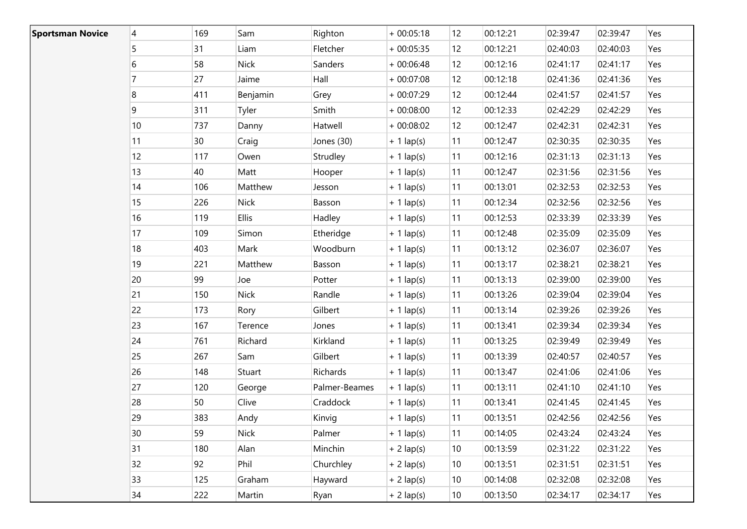| <b>Sportsman Novice</b> | 4              | 169             | Sam          | Righton       | $+00:05:18$  | 12 <sup>°</sup>   | 00:12:21 | 02:39:47 | 02:39:47 | Yes |
|-------------------------|----------------|-----------------|--------------|---------------|--------------|-------------------|----------|----------|----------|-----|
|                         | 5              | 31              | Liam         | Fletcher      | $+00:05:35$  | 12                | 00:12:21 | 02:40:03 | 02:40:03 | Yes |
|                         | 6              | 58              | Nick         | Sanders       | $+00:06:48$  | $12 \overline{ }$ | 00:12:16 | 02:41:17 | 02:41:17 | Yes |
|                         | $\overline{7}$ | 27              | Jaime        | Hall          | $+00:07:08$  | 12                | 00:12:18 | 02:41:36 | 02:41:36 | Yes |
|                         | 8              | 411             | Benjamin     | Grey          | $+00:07:29$  | 12 <sup>2</sup>   | 00:12:44 | 02:41:57 | 02:41:57 | Yes |
|                         | 9              | 311             | Tyler        | Smith         | $+00:08:00$  | 12                | 00:12:33 | 02:42:29 | 02:42:29 | Yes |
|                         | $10\,$         | 737             | Danny        | Hatwell       | $+00:08:02$  | 12                | 00:12:47 | 02:42:31 | 02:42:31 | Yes |
|                         | 11             | 30 <sup>°</sup> | Craig        | Jones (30)    | $+ 1$ lap(s) | 11                | 00:12:47 | 02:30:35 | 02:30:35 | Yes |
|                         | 12             | 117             | Owen         | Strudley      | $+1$ lap(s)  | 11                | 00:12:16 | 02:31:13 | 02:31:13 | Yes |
|                         | 13             | 40              | Matt         | Hooper        | $+ 1$ lap(s) | 11                | 00:12:47 | 02:31:56 | 02:31:56 | Yes |
|                         | 14             | 106             | Matthew      | Jesson        | $+1$ lap(s)  | 11                | 00:13:01 | 02:32:53 | 02:32:53 | Yes |
|                         | 15             | 226             | <b>Nick</b>  | Basson        | $+ 1$ lap(s) | 11                | 00:12:34 | 02:32:56 | 02:32:56 | Yes |
|                         | 16             | 119             | <b>Ellis</b> | Hadley        | $+ 1$ lap(s) | 11                | 00:12:53 | 02:33:39 | 02:33:39 | Yes |
|                         | 17             | 109             | Simon        | Etheridge     | $+ 1$ lap(s) | 11                | 00:12:48 | 02:35:09 | 02:35:09 | Yes |
|                         | 18             | 403             | Mark         | Woodburn      | $+ 1$ lap(s) | 11                | 00:13:12 | 02:36:07 | 02:36:07 | Yes |
|                         | 19             | 221             | Matthew      | Basson        | $+ 1$ lap(s) | 11                | 00:13:17 | 02:38:21 | 02:38:21 | Yes |
|                         | 20             | 99              | Joe          | Potter        | $+ 1$ lap(s) | 11                | 00:13:13 | 02:39:00 | 02:39:00 | Yes |
|                         | 21             | 150             | <b>Nick</b>  | Randle        | $+ 1$ lap(s) | 11                | 00:13:26 | 02:39:04 | 02:39:04 | Yes |
|                         | 22             | 173             | Rory         | Gilbert       | $+ 1$ lap(s) | 11                | 00:13:14 | 02:39:26 | 02:39:26 | Yes |
|                         | 23             | 167             | Terence      | Jones         | $+ 1$ lap(s) | 11                | 00:13:41 | 02:39:34 | 02:39:34 | Yes |
|                         | 24             | 761             | Richard      | Kirkland      | $+1$ lap(s)  | 11                | 00:13:25 | 02:39:49 | 02:39:49 | Yes |
|                         | 25             | 267             | Sam          | Gilbert       | $+ 1$ lap(s) | 11                | 00:13:39 | 02:40:57 | 02:40:57 | Yes |
|                         | 26             | 148             | Stuart       | Richards      | $+ 1$ lap(s) | 11                | 00:13:47 | 02:41:06 | 02:41:06 | Yes |
|                         | 27             | 120             | George       | Palmer-Beames | $+ 1$ lap(s) | 11                | 00:13:11 | 02:41:10 | 02:41:10 | Yes |
|                         | 28             | 50              | Clive        | Craddock      | $+1$ lap(s)  | 11                | 00:13:41 | 02:41:45 | 02:41:45 | Yes |
|                         | 29             | 383             | Andy         | Kinvig        | $+ 1$ lap(s) | 11                | 00:13:51 | 02:42:56 | 02:42:56 | Yes |
|                         | 30             | 59              | <b>Nick</b>  | Palmer        | $+ 1$ lap(s) | 11                | 00:14:05 | 02:43:24 | 02:43:24 | Yes |
|                         | 31             | 180             | Alan         | Minchin       | $+ 2$ lap(s) | 10 <sup>°</sup>   | 00:13:59 | 02:31:22 | 02:31:22 | Yes |
|                         | 32             | 92              | Phil         | Churchley     | $+ 2$ lap(s) | 10 <sup>°</sup>   | 00:13:51 | 02:31:51 | 02:31:51 | Yes |
|                         | 33             | 125             | Graham       | Hayward       | $+ 2$ lap(s) | 10 <sup>°</sup>   | 00:14:08 | 02:32:08 | 02:32:08 | Yes |
|                         | 34             | 222             | Martin       | Ryan          | $+ 2$ lap(s) | 10 <sup>°</sup>   | 00:13:50 | 02:34:17 | 02:34:17 | Yes |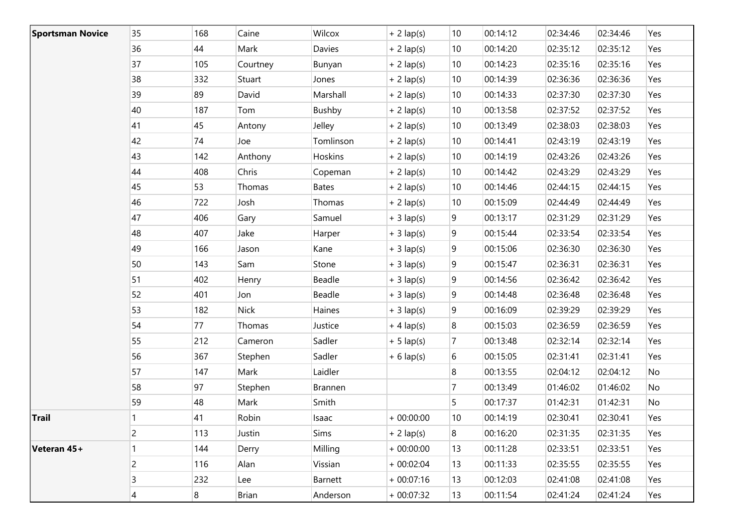| <b>Sportsman Novice</b> | 35             | 168 | Caine       | Wilcox       | $+ 2$ lap(s) | 10 <sup>°</sup> | 00:14:12 | 02:34:46 | 02:34:46 | Yes |
|-------------------------|----------------|-----|-------------|--------------|--------------|-----------------|----------|----------|----------|-----|
|                         | 36             | 44  | Mark        | Davies       | $+ 2$ lap(s) | 10 <sup>°</sup> | 00:14:20 | 02:35:12 | 02:35:12 | Yes |
|                         | 37             | 105 | Courtney    | Bunyan       | $+ 2$ lap(s) | 10 <sup>°</sup> | 00:14:23 | 02:35:16 | 02:35:16 | Yes |
|                         | 38             | 332 | Stuart      | Jones        | $+2$ lap(s)  | 10 <sup>°</sup> | 00:14:39 | 02:36:36 | 02:36:36 | Yes |
|                         | 39             | 89  | David       | Marshall     | $+ 2$ lap(s) | 10 <sup>°</sup> | 00:14:33 | 02:37:30 | 02:37:30 | Yes |
|                         | 40             | 187 | Tom         | Bushby       | $+ 2$ lap(s) | 10 <sup>°</sup> | 00:13:58 | 02:37:52 | 02:37:52 | Yes |
|                         | 41             | 45  | Antony      | Jelley       | $+ 2$ lap(s) | 10 <sup>°</sup> | 00:13:49 | 02:38:03 | 02:38:03 | Yes |
|                         | 42             | 74  | Joe         | Tomlinson    | $+ 2$ lap(s) | 10 <sup>°</sup> | 00:14:41 | 02:43:19 | 02:43:19 | Yes |
|                         | 43             | 142 | Anthony     | Hoskins      | $+ 2$ lap(s) | 10              | 00:14:19 | 02:43:26 | 02:43:26 | Yes |
|                         | 44             | 408 | Chris       | Copeman      | $+ 2$ lap(s) | 10              | 00:14:42 | 02:43:29 | 02:43:29 | Yes |
|                         | 45             | 53  | Thomas      | <b>Bates</b> | $+ 2$ lap(s) | 10              | 00:14:46 | 02:44:15 | 02:44:15 | Yes |
|                         | 46             | 722 | Josh        | Thomas       | $+ 2$ lap(s) | 10              | 00:15:09 | 02:44:49 | 02:44:49 | Yes |
|                         | 47             | 406 | Gary        | Samuel       | $+3$ lap(s)  | 9               | 00:13:17 | 02:31:29 | 02:31:29 | Yes |
|                         | 48             | 407 | Jake        | Harper       | $+3$ lap(s)  | 9               | 00:15:44 | 02:33:54 | 02:33:54 | Yes |
|                         | 49             | 166 | Jason       | Kane         | $+3$ lap(s)  | 9               | 00:15:06 | 02:36:30 | 02:36:30 | Yes |
|                         | 50             | 143 | Sam         | Stone        | $+3$ lap(s)  | 9               | 00:15:47 | 02:36:31 | 02:36:31 | Yes |
|                         | 51             | 402 | Henry       | Beadle       | $+3$ lap(s)  | 9               | 00:14:56 | 02:36:42 | 02:36:42 | Yes |
|                         | 52             | 401 | Jon         | Beadle       | $+3$ lap(s)  | 9               | 00:14:48 | 02:36:48 | 02:36:48 | Yes |
|                         | 53             | 182 | <b>Nick</b> | Haines       | $+3$ lap(s)  | 9               | 00:16:09 | 02:39:29 | 02:39:29 | Yes |
|                         | 54             | 77  | Thomas      | Justice      | $+4$ lap(s)  | 8               | 00:15:03 | 02:36:59 | 02:36:59 | Yes |
|                         | 55             | 212 | Cameron     | Sadler       | $+ 5$ lap(s) | 7               | 00:13:48 | 02:32:14 | 02:32:14 | Yes |
|                         | 56             | 367 | Stephen     | Sadler       | $+ 6$ lap(s) | 6               | 00:15:05 | 02:31:41 | 02:31:41 | Yes |
|                         | 57             | 147 | Mark        | Laidler      |              | 8               | 00:13:55 | 02:04:12 | 02:04:12 | No  |
|                         | 58             | 97  | Stephen     | Brannen      |              | $\overline{7}$  | 00:13:49 | 01:46:02 | 01:46:02 | No  |
|                         | 59             | 48  | Mark        | Smith        |              | 5               | 00:17:37 | 01:42:31 | 01:42:31 | No  |
| Trail                   |                | 41  | Robin       | Isaac        | $+00:00:00$  | 10 <sup>°</sup> | 00:14:19 | 02:30:41 | 02:30:41 | Yes |
|                         | $\overline{c}$ | 113 | Justin      | Sims         | $+ 2$ lap(s) | 8               | 00:16:20 | 02:31:35 | 02:31:35 | Yes |
| Veteran 45+             | 1              | 144 | Derry       | Milling      | $+00:00:00$  | 13              | 00:11:28 | 02:33:51 | 02:33:51 | Yes |
|                         | $\overline{c}$ | 116 | Alan        | Vissian      | $+00:02:04$  | 13              | 00:11:33 | 02:35:55 | 02:35:55 | Yes |
|                         | 3              | 232 | Lee         | Barnett      | $+00:07:16$  | 13              | 00:12:03 | 02:41:08 | 02:41:08 | Yes |
|                         | 4              | 8   | Brian       | Anderson     | $+00:07:32$  | 13              | 00:11:54 | 02:41:24 | 02:41:24 | Yes |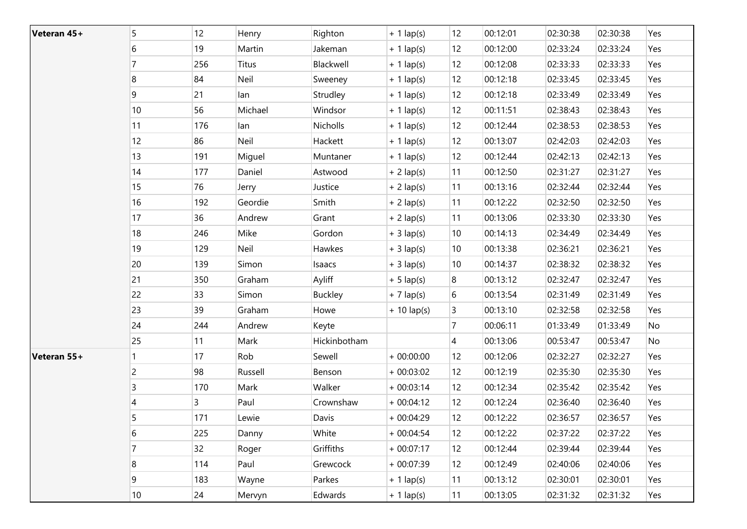| Veteran 45+ | 5                | 12  | Henry   | Righton        | $+ 1$ lap(s) | 12              | 00:12:01 | 02:30:38 | 02:30:38 | Yes |
|-------------|------------------|-----|---------|----------------|--------------|-----------------|----------|----------|----------|-----|
|             | 6                | 19  | Martin  | Jakeman        | $+ 1$ lap(s) | 12              | 00:12:00 | 02:33:24 | 02:33:24 | Yes |
|             | 7                | 256 | Titus   | Blackwell      | $+1$ lap(s)  | 12              | 00:12:08 | 02:33:33 | 02:33:33 | Yes |
|             | 8                | 84  | Neil    | Sweeney        | $+ 1$ lap(s) | 12              | 00:12:18 | 02:33:45 | 02:33:45 | Yes |
|             | 9                | 21  | lan     | Strudley       | $+ 1$ lap(s) | 12              | 00:12:18 | 02:33:49 | 02:33:49 | Yes |
|             | 10               | 56  | Michael | Windsor        | $+ 1$ lap(s) | 12              | 00:11:51 | 02:38:43 | 02:38:43 | Yes |
|             | 11               | 176 | lan     | Nicholls       | $+ 1$ lap(s) | 12              | 00:12:44 | 02:38:53 | 02:38:53 | Yes |
|             | 12               | 86  | Neil    | Hackett        | $+ 1$ lap(s) | 12              | 00:13:07 | 02:42:03 | 02:42:03 | Yes |
|             | 13               | 191 | Miguel  | Muntaner       | $+ 1$ lap(s) | 12              | 00:12:44 | 02:42:13 | 02:42:13 | Yes |
|             | 14               | 177 | Daniel  | Astwood        | $+ 2$ lap(s) | 11              | 00:12:50 | 02:31:27 | 02:31:27 | Yes |
|             | 15               | 76  | Jerry   | Justice        | $+ 2$ lap(s) | 11              | 00:13:16 | 02:32:44 | 02:32:44 | Yes |
|             | 16               | 192 | Geordie | Smith          | $+ 2$ lap(s) | 11              | 00:12:22 | 02:32:50 | 02:32:50 | Yes |
|             | 17               | 36  | Andrew  | Grant          | $+ 2$ lap(s) | 11              | 00:13:06 | 02:33:30 | 02:33:30 | Yes |
|             | 18               | 246 | Mike    | Gordon         | $+3$ lap(s)  | 10 <sup>°</sup> | 00:14:13 | 02:34:49 | 02:34:49 | Yes |
|             | 19               | 129 | Neil    | Hawkes         | $+3$ lap(s)  | 10              | 00:13:38 | 02:36:21 | 02:36:21 | Yes |
|             | 20               | 139 | Simon   | Isaacs         | $+3$ lap(s)  | 10              | 00:14:37 | 02:38:32 | 02:38:32 | Yes |
|             | 21               | 350 | Graham  | Ayliff         | $+ 5$ lap(s) | 8               | 00:13:12 | 02:32:47 | 02:32:47 | Yes |
|             | 22               | 33  | Simon   | <b>Buckley</b> | $+7$ lap(s)  | 6               | 00:13:54 | 02:31:49 | 02:31:49 | Yes |
|             | 23               | 39  | Graham  | Howe           | $+10$ lap(s) | 3               | 00:13:10 | 02:32:58 | 02:32:58 | Yes |
|             | 24               | 244 | Andrew  | Keyte          |              | $\overline{7}$  | 00:06:11 | 01:33:49 | 01:33:49 | No  |
|             | 25               | 11  | Mark    | Hickinbotham   |              | 4               | 00:13:06 | 00:53:47 | 00:53:47 | No  |
| Veteran 55+ | 1                | 17  | Rob     | Sewell         | $+00:00:00$  | 12              | 00:12:06 | 02:32:27 | 02:32:27 | Yes |
|             | $\overline{c}$   | 98  | Russell | Benson         | $+00:03:02$  | 12              | 00:12:19 | 02:35:30 | 02:35:30 | Yes |
|             | 3                | 170 | Mark    | Walker         | $+00:03:14$  | 12              | 00:12:34 | 02:35:42 | 02:35:42 | Yes |
|             | 4                | 3   | Paul    | Crownshaw      | $+00:04:12$  | 12              | 00:12:24 | 02:36:40 | 02:36:40 | Yes |
|             | 5                | 171 | Lewie   | Davis          | $+00:04:29$  | 12              | 00:12:22 | 02:36:57 | 02:36:57 | Yes |
|             | 6                | 225 | Danny   | White          | $+00:04:54$  | 12              | 00:12:22 | 02:37:22 | 02:37:22 | Yes |
|             | $\overline{7}$   | 32  | Roger   | Griffiths      | $+00:07:17$  | 12              | 00:12:44 | 02:39:44 | 02:39:44 | Yes |
|             | $\boldsymbol{8}$ | 114 | Paul    | Grewcock       | $+00:07:39$  | 12              | 00:12:49 | 02:40:06 | 02:40:06 | Yes |
|             | 9                | 183 | Wayne   | Parkes         | $+ 1$ lap(s) | 11              | 00:13:12 | 02:30:01 | 02:30:01 | Yes |
|             | 10               | 24  | Mervyn  | Edwards        | $+ 1$ lap(s) | 11              | 00:13:05 | 02:31:32 | 02:31:32 | Yes |